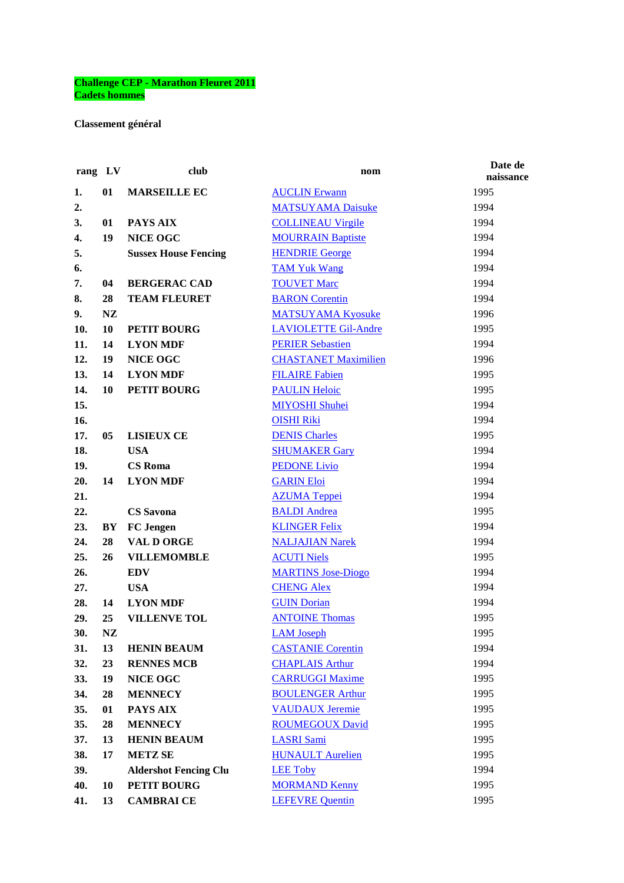## **Challenge CEP - Marathon Fleuret 2011 Cadets hommes**

**Classement général** 

| rang LV |           | club                         | nom                         | Date de<br>naissance |
|---------|-----------|------------------------------|-----------------------------|----------------------|
| 1.      | 01        | <b>MARSEILLE EC</b>          | <b>AUCLIN Erwann</b>        | 1995                 |
| 2.      |           |                              | <b>MATSUYAMA Daisuke</b>    | 1994                 |
| 3.      | 01        | PAYS AIX                     | <b>COLLINEAU Virgile</b>    | 1994                 |
| 4.      | 19        | <b>NICE OGC</b>              | <b>MOURRAIN Baptiste</b>    | 1994                 |
| 5.      |           | <b>Sussex House Fencing</b>  | <b>HENDRIE George</b>       | 1994                 |
| 6.      |           |                              | <b>TAM Yuk Wang</b>         | 1994                 |
| 7.      | 04        | <b>BERGERAC CAD</b>          | <b>TOUVET Marc</b>          | 1994                 |
| 8.      | 28        | <b>TEAM FLEURET</b>          | <b>BARON</b> Corentin       | 1994                 |
| 9.      | <b>NZ</b> |                              | <b>MATSUYAMA Kyosuke</b>    | 1996                 |
| 10.     | 10        | PETIT BOURG                  | <b>LAVIOLETTE Gil-Andre</b> | 1995                 |
| 11.     | 14        | <b>LYON MDF</b>              | <b>PERIER Sebastien</b>     | 1994                 |
| 12.     | 19        | <b>NICE OGC</b>              | <b>CHASTANET Maximilien</b> | 1996                 |
| 13.     | 14        | <b>LYON MDF</b>              | <b>FILAIRE Fabien</b>       | 1995                 |
| 14.     | 10        | <b>PETIT BOURG</b>           | <b>PAULIN Heloic</b>        | 1995                 |
| 15.     |           |                              | <b>MIYOSHI Shuhei</b>       | 1994                 |
| 16.     |           |                              | <b>OISHI Riki</b>           | 1994                 |
| 17.     | 05        | <b>LISIEUX CE</b>            | <b>DENIS Charles</b>        | 1995                 |
| 18.     |           | <b>USA</b>                   | <b>SHUMAKER Gary</b>        | 1994                 |
| 19.     |           | <b>CS</b> Roma               | <b>PEDONE Livio</b>         | 1994                 |
| 20.     | 14        | <b>LYON MDF</b>              | <b>GARIN Eloi</b>           | 1994                 |
| 21.     |           |                              | <b>AZUMA Teppei</b>         | 1994                 |
| 22.     |           | <b>CS</b> Savona             | <b>BALDI</b> Andrea         | 1995                 |
| 23.     | BY        | <b>FC</b> Jengen             | <b>KLINGER Felix</b>        | 1994                 |
| 24.     | 28        | VAL D ORGE                   | <b>NALJAJIAN Narek</b>      | 1994                 |
| 25.     | 26        | <b>VILLEMOMBLE</b>           | <b>ACUTI Niels</b>          | 1995                 |
| 26.     |           | <b>EDV</b>                   | <b>MARTINS Jose-Diogo</b>   | 1994                 |
| 27.     |           | <b>USA</b>                   | <b>CHENG Alex</b>           | 1994                 |
| 28.     | 14        | <b>LYON MDF</b>              | <b>GUIN Dorian</b>          | 1994                 |
| 29.     | 25        | <b>VILLENVE TOL</b>          | <b>ANTOINE Thomas</b>       | 1995                 |
| 30.     | NZ        |                              | <b>LAM</b> Joseph           | 1995                 |
| 31.     | 13        | <b>HENIN BEAUM</b>           | <b>CASTANIE Corentin</b>    | 1994                 |
| 32.     | 23        | <b>RENNES MCB</b>            | <b>CHAPLAIS Arthur</b>      | 1994                 |
| 33.     | 19        | NICE OGC                     | <b>CARRUGGI Maxime</b>      | 1995                 |
| 34.     | 28        | <b>MENNECY</b>               | <b>BOULENGER Arthur</b>     | 1995                 |
| 35.     | 01        | PAYS AIX                     | <b>VAUDAUX Jeremie</b>      | 1995                 |
| 35.     | 28        | <b>MENNECY</b>               | <b>ROUMEGOUX David</b>      | 1995                 |
| 37.     | 13        | <b>HENIN BEAUM</b>           | <b>LASRI</b> Sami           | 1995                 |
| 38.     | 17        | <b>METZ SE</b>               | <b>HUNAULT Aurelien</b>     | 1995                 |
| 39.     |           | <b>Aldershot Fencing Clu</b> | <b>LEE Toby</b>             | 1994                 |
| 40.     | 10        | <b>PETIT BOURG</b>           | <b>MORMAND Kenny</b>        | 1995                 |
| 41.     | 13        | <b>CAMBRAI CE</b>            | <b>LEFEVRE Quentin</b>      | 1995                 |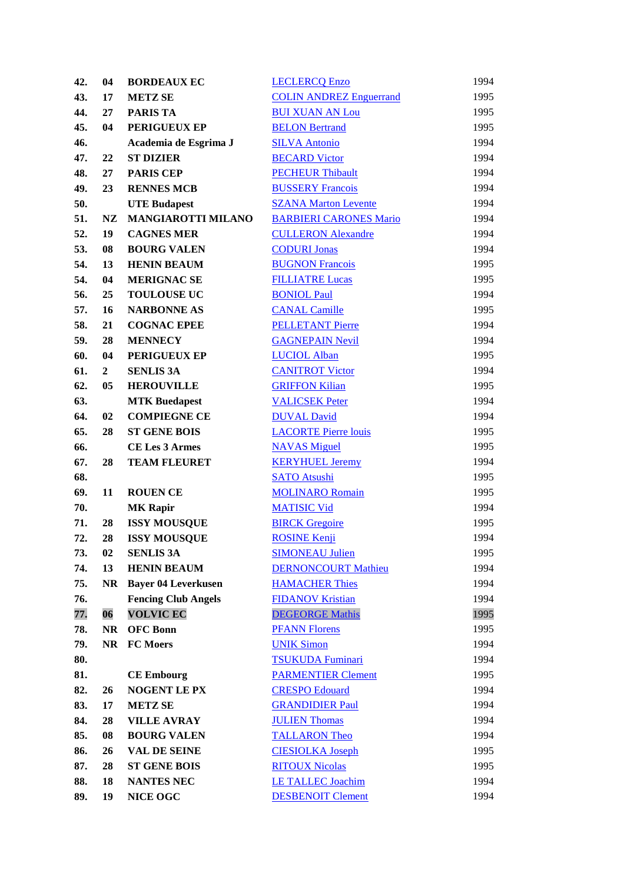| 42. | 04             | <b>BORDEAUX EC</b>         | <b>LECLERCQ Enzo</b>           | 1994 |
|-----|----------------|----------------------------|--------------------------------|------|
| 43. | 17             | <b>METZ SE</b>             | <b>COLIN ANDREZ Enguerrand</b> | 1995 |
| 44. | 27             | <b>PARIS TA</b>            | <b>BUI XUAN AN Lou</b>         | 1995 |
| 45. | 04             | PERIGUEUX EP               | <b>BELON Bertrand</b>          | 1995 |
| 46. |                | Academia de Esgrima J      | <b>SILVA Antonio</b>           | 1994 |
| 47. | 22             | <b>ST DIZIER</b>           | <b>BECARD Victor</b>           | 1994 |
| 48. | 27             | <b>PARIS CEP</b>           | <b>PECHEUR Thibault</b>        | 1994 |
| 49. | 23             | <b>RENNES MCB</b>          | <b>BUSSERY Francois</b>        | 1994 |
| 50. |                | <b>UTE Budapest</b>        | <b>SZANA Marton Levente</b>    | 1994 |
| 51. | NZ             | <b>MANGIAROTTI MILANO</b>  | <b>BARBIERI CARONES Mario</b>  | 1994 |
| 52. | 19             | <b>CAGNES MER</b>          | <b>CULLERON Alexandre</b>      | 1994 |
| 53. | 08             | <b>BOURG VALEN</b>         | <b>CODURI Jonas</b>            | 1994 |
| 54. | 13             | <b>HENIN BEAUM</b>         | <b>BUGNON Francois</b>         | 1995 |
| 54. | 04             | <b>MERIGNAC SE</b>         | <b>FILLIATRE Lucas</b>         | 1995 |
| 56. | 25             | <b>TOULOUSE UC</b>         | <b>BONIOL Paul</b>             | 1994 |
| 57. | 16             | <b>NARBONNE AS</b>         | <b>CANAL Camille</b>           | 1995 |
| 58. | 21             | <b>COGNAC EPEE</b>         | <b>PELLETANT Pierre</b>        | 1994 |
| 59. | 28             | <b>MENNECY</b>             | <b>GAGNEPAIN Nevil</b>         | 1994 |
| 60. | 04             | PERIGUEUX EP               | <b>LUCIOL Alban</b>            | 1995 |
| 61. | $\overline{2}$ | <b>SENLIS 3A</b>           | <b>CANITROT Victor</b>         | 1994 |
| 62. | 05             | <b>HEROUVILLE</b>          | <b>GRIFFON Kilian</b>          | 1995 |
| 63. |                | <b>MTK Buedapest</b>       | <b>VALICSEK Peter</b>          | 1994 |
| 64. | 02             | <b>COMPIEGNE CE</b>        | <b>DUVAL David</b>             | 1994 |
| 65. | 28             | <b>ST GENE BOIS</b>        | <b>LACORTE Pierre louis</b>    | 1995 |
| 66. |                | <b>CE Les 3 Armes</b>      | <b>NAVAS</b> Miguel            | 1995 |
| 67. | 28             | <b>TEAM FLEURET</b>        | <b>KERYHUEL Jeremy</b>         | 1994 |
| 68. |                |                            | <b>SATO Atsushi</b>            | 1995 |
| 69. | 11             | <b>ROUEN CE</b>            | <b>MOLINARO Romain</b>         | 1995 |
| 70. |                | <b>MK Rapir</b>            | <b>MATISIC Vid</b>             | 1994 |
| 71. | 28             | <b>ISSY MOUSQUE</b>        | <b>BIRCK Gregoire</b>          | 1995 |
| 72. | 28             | <b>ISSY MOUSQUE</b>        | <b>ROSINE Kenji</b>            | 1994 |
| 73. | 02             | <b>SENLIS 3A</b>           | <b>SIMONEAU Julien</b>         | 1995 |
| 74. | 13             | <b>HENIN BEAUM</b>         | <b>DERNONCOURT Mathieu</b>     | 1994 |
| 75. | <b>NR</b>      | <b>Bayer 04 Leverkusen</b> | <b>HAMACHER Thies</b>          | 1994 |
| 76. |                | <b>Fencing Club Angels</b> | <b>FIDANOV Kristian</b>        | 1994 |
| 77. | 06             | <b>VOLVIC EC</b>           | <b>DEGEORGE Mathis</b>         | 1995 |
| 78. | <b>NR</b>      | <b>OFC Bonn</b>            | <b>PFANN Florens</b>           | 1995 |
| 79. | <b>NR</b>      | <b>FC Moers</b>            | <b>UNIK Simon</b>              | 1994 |
| 80. |                |                            | <b>TSUKUDA Fuminari</b>        | 1994 |
| 81. |                | <b>CE Embourg</b>          | <b>PARMENTIER Clement</b>      | 1995 |
| 82. | 26             | <b>NOGENT LE PX</b>        | <b>CRESPO</b> Edouard          | 1994 |
| 83. | 17             | <b>METZ SE</b>             | <b>GRANDIDIER Paul</b>         | 1994 |
| 84. | 28             | <b>VILLE AVRAY</b>         | <b>JULIEN Thomas</b>           | 1994 |
| 85. | 08             | <b>BOURG VALEN</b>         | <b>TALLARON Theo</b>           | 1994 |
| 86. | 26             | <b>VAL DE SEINE</b>        | <b>CIESIOLKA Joseph</b>        | 1995 |
| 87. | 28             | <b>ST GENE BOIS</b>        | <b>RITOUX Nicolas</b>          | 1995 |
| 88. | 18             | <b>NANTES NEC</b>          | <b>LE TALLEC Joachim</b>       | 1994 |
| 89. | 19             | NICE OGC                   | <b>DESBENOIT Clement</b>       | 1994 |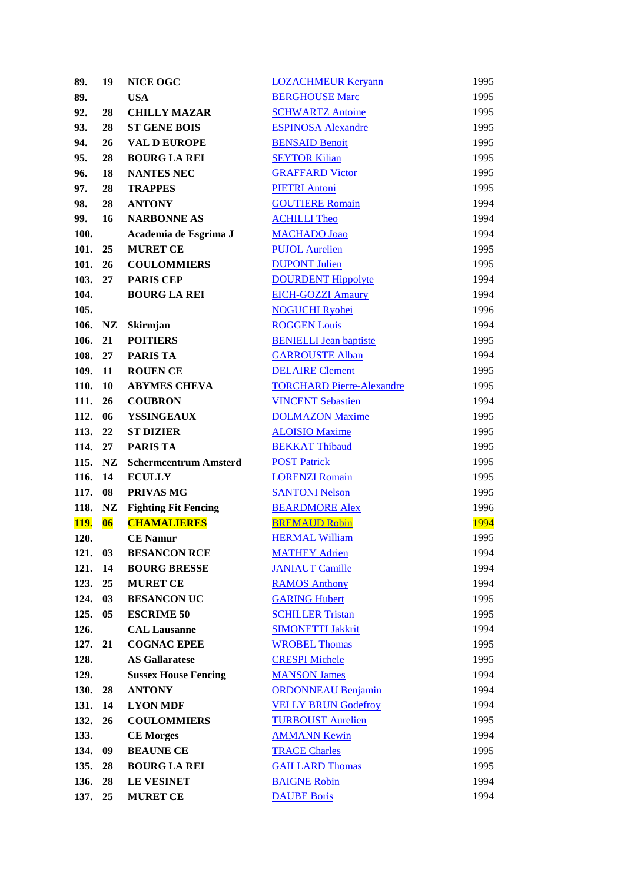| 89.         | 19                       | <b>NICE OGC</b>              | <b>LOZACHMEUR Keryann</b>        | 1995         |
|-------------|--------------------------|------------------------------|----------------------------------|--------------|
| 89.         |                          | <b>USA</b>                   | <b>BERGHOUSE Marc</b>            | 1995         |
| 92.         | 28                       | <b>CHILLY MAZAR</b>          | <b>SCHWARTZ Antoine</b>          | 1995         |
| 93.         | 28                       | <b>ST GENE BOIS</b>          | <b>ESPINOSA Alexandre</b>        | 1995         |
| 94.         | 26                       | <b>VAL D EUROPE</b>          | <b>BENSAID Benoit</b>            | 1995         |
| 95.         | 28                       | <b>BOURG LA REI</b>          | <b>SEYTOR Kilian</b>             | 1995         |
| 96.         | 18                       | <b>NANTES NEC</b>            | <b>GRAFFARD Victor</b>           | 1995         |
| 97.         | 28                       | <b>TRAPPES</b>               | <b>PIETRI Antoni</b>             | 1995         |
| 98.         | 28                       | <b>ANTONY</b>                | <b>GOUTIERE Romain</b>           | 1994         |
| 99.         | 16                       | <b>NARBONNE AS</b>           | <b>ACHILLI Theo</b>              | 1994         |
| 100.        |                          | Academia de Esgrima J        | <b>MACHADO</b> Joao              | 1994         |
| 101.        | 25                       | <b>MURET CE</b>              | <b>PUJOL Aurelien</b>            | 1995         |
| 101.        | 26                       | <b>COULOMMIERS</b>           | <b>DUPONT Julien</b>             | 1995         |
| 103.        | 27                       | <b>PARIS CEP</b>             | <b>DOURDENT Hippolyte</b>        | 1994         |
| 104.        |                          | <b>BOURG LA REI</b>          | <b>EICH-GOZZI Amaury</b>         | 1994         |
| 105.        |                          |                              | <b>NOGUCHI Ryohei</b>            | 1996         |
| 106.        | NZ                       | Skirmjan                     | <b>ROGGEN Louis</b>              | 1994         |
| 106.        | 21                       | <b>POITIERS</b>              | <b>BENIELLI Jean baptiste</b>    | 1995         |
| 108.        | 27                       | <b>PARIS TA</b>              | <b>GARROUSTE Alban</b>           | 1994         |
|             |                          |                              |                                  |              |
| 109.        | 11                       | <b>ROUEN CE</b>              | <b>DELAIRE Clement</b>           | 1995<br>1995 |
| 110.        | 10                       | <b>ABYMES CHEVA</b>          | <b>TORCHARD Pierre-Alexandre</b> |              |
| 111.        | 26                       | <b>COUBRON</b>               | <b>VINCENT Sebastien</b>         | 1994         |
| 112.        | 06                       | <b>YSSINGEAUX</b>            | <b>DOLMAZON Maxime</b>           | 1995         |
| 113.        | 22                       | <b>ST DIZIER</b>             | <b>ALOISIO Maxime</b>            | 1995         |
| 114.        | 27                       | <b>PARIS TA</b>              | <b>BEKKAT Thibaud</b>            | 1995         |
| 115.        | NZ                       | <b>Schermcentrum Amsterd</b> | <b>POST Patrick</b>              | 1995         |
| 116.        | 14                       | <b>ECULLY</b>                | <b>LORENZI Romain</b>            | 1995         |
| 117.        | 08                       | PRIVAS MG                    | <b>SANTONI Nelson</b>            | 1995         |
| 118.        | NZ                       | <b>Fighting Fit Fencing</b>  | <b>BEARDMORE Alex</b>            | 1996         |
| <u>119.</u> | $\overline{\textbf{06}}$ | <b>CHAMALIERES</b>           | <b>BREMAUD Robin</b>             | 1994         |
| 120.        |                          | <b>CE Namur</b>              | <b>HERMAL William</b>            | 1995         |
| 121.        | 03                       | <b>BESANCON RCE</b>          | <b>MATHEY Adrien</b>             | 1994         |
| 121.        | 14                       | <b>BOURG BRESSE</b>          | <b>JANIAUT Camille</b>           | 1994         |
| 123.        | 25                       | <b>MURET CE</b>              | <b>RAMOS Anthony</b>             | 1994         |
| 124.        | 03                       | <b>BESANCON UC</b>           | <b>GARING Hubert</b>             | 1995         |
| 125.        | 05                       | <b>ESCRIME 50</b>            | <b>SCHILLER Tristan</b>          | 1995         |
| 126.        |                          | <b>CAL Lausanne</b>          | <b>SIMONETTI Jakkrit</b>         | 1994         |
| 127.        | 21                       | <b>COGNAC EPEE</b>           | <b>WROBEL Thomas</b>             | 1995         |
| 128.        |                          | <b>AS Gallaratese</b>        | <b>CRESPI Michele</b>            | 1995         |
| 129.        |                          | <b>Sussex House Fencing</b>  | <b>MANSON James</b>              | 1994         |
| 130.        | 28                       | <b>ANTONY</b>                | <b>ORDONNEAU Benjamin</b>        | 1994         |
| 131.        | 14                       | <b>LYON MDF</b>              | <b>VELLY BRUN Godefroy</b>       | 1994         |
| 132.        | 26                       | <b>COULOMMIERS</b>           | <b>TURBOUST Aurelien</b>         | 1995         |
| 133.        |                          | <b>CE Morges</b>             | <b>AMMANN Kewin</b>              | 1994         |
| 134.        | 09                       | <b>BEAUNE CE</b>             | <b>TRACE Charles</b>             | 1995         |
| 135.        | 28                       | <b>BOURG LA REI</b>          | <b>GAILLARD Thomas</b>           | 1995         |
| 136.        | 28                       | <b>LE VESINET</b>            | <b>BAIGNE Robin</b>              | 1994         |
| 137.        | 25                       | <b>MURET CE</b>              | <b>DAUBE Boris</b>               | 1994         |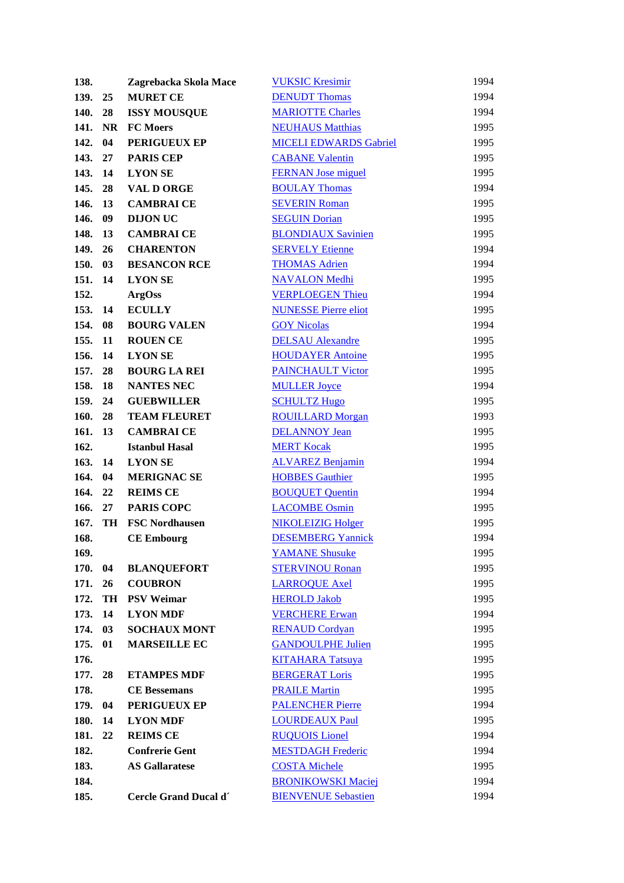| 138.         |           | Zagrebacka Skola Mace | <b>VUKSIC Kresimir</b>        | 1994 |
|--------------|-----------|-----------------------|-------------------------------|------|
| 139.         | 25        | <b>MURET CE</b>       | <b>DENUDT</b> Thomas          | 1994 |
| 140.         | 28        | <b>ISSY MOUSQUE</b>   | <b>MARIOTTE Charles</b>       | 1994 |
| 141.         | <b>NR</b> | <b>FC</b> Moers       | <b>NEUHAUS Matthias</b>       | 1995 |
| 142.         | 04        | PERIGUEUX EP          | <b>MICELI EDWARDS Gabriel</b> | 1995 |
| 143.         | 27        | <b>PARIS CEP</b>      | <b>CABANE Valentin</b>        | 1995 |
| 143.         | 14        | <b>LYON SE</b>        | <b>FERNAN Jose miguel</b>     | 1995 |
| 145.         | 28        | <b>VAL D ORGE</b>     | <b>BOULAY Thomas</b>          | 1994 |
| 146.         | 13        | <b>CAMBRAI CE</b>     | <b>SEVERIN Roman</b>          | 1995 |
| 146.         | 09        | <b>DIJON UC</b>       | <b>SEGUIN Dorian</b>          | 1995 |
| 148.         | 13        | <b>CAMBRAI CE</b>     | <b>BLONDIAUX Savinien</b>     | 1995 |
| 149.         | 26        | <b>CHARENTON</b>      | <b>SERVELY Etienne</b>        | 1994 |
| 150.         | 03        | <b>BESANCON RCE</b>   | <b>THOMAS Adrien</b>          | 1994 |
| 151.         | 14        | <b>LYON SE</b>        | <b>NAVALON</b> Medhi          | 1995 |
| 152.         |           | <b>ArgOss</b>         | <b>VERPLOEGEN Thieu</b>       | 1994 |
| 153.         | 14        | <b>ECULLY</b>         | <b>NUNESSE Pierre eliot</b>   | 1995 |
| 154.         | 08        | <b>BOURG VALEN</b>    | <b>GOY Nicolas</b>            | 1994 |
| 155.         | 11        | <b>ROUEN CE</b>       | <b>DELSAU</b> Alexandre       | 1995 |
| 156.         | 14        | <b>LYON SE</b>        | <b>HOUDAYER Antoine</b>       | 1995 |
| 157.         | 28        | <b>BOURG LA REI</b>   | <b>PAINCHAULT Victor</b>      | 1995 |
| 158.         | 18        | <b>NANTES NEC</b>     | <b>MULLER Joyce</b>           | 1994 |
| 159.         | 24        | <b>GUEBWILLER</b>     | <b>SCHULTZ Hugo</b>           | 1995 |
| 160.         | 28        | <b>TEAM FLEURET</b>   | <b>ROUILLARD Morgan</b>       | 1993 |
| 161.         | 13        | <b>CAMBRAI CE</b>     | <b>DELANNOY Jean</b>          | 1995 |
| 162.         |           | <b>Istanbul Hasal</b> | <b>MERT Kocak</b>             | 1995 |
| 163.         | 14        | <b>LYON SE</b>        | <b>ALVAREZ Benjamin</b>       | 1994 |
| 164.         | 04        | <b>MERIGNAC SE</b>    | <b>HOBBES</b> Gauthier        | 1995 |
| 164.         | 22        | <b>REIMS CE</b>       | <b>BOUQUET Quentin</b>        | 1994 |
|              |           | <b>PARIS COPC</b>     |                               |      |
| 166.<br>167. | 27<br>TH  | <b>FSC Nordhausen</b> | <b>LACOMBE Osmin</b>          | 1995 |
|              |           |                       | <b>NIKOLEIZIG Holger</b>      | 1995 |
| 168.         |           | <b>CE Embourg</b>     | <b>DESEMBERG Yannick</b>      | 1994 |
| 169.         |           |                       | <b>YAMANE Shusuke</b>         | 1995 |
| 170.         | 04        | <b>BLANQUEFORT</b>    | <b>STERVINOU Ronan</b>        | 1995 |
| 171.         | 26        | <b>COUBRON</b>        | <b>LARROQUE Axel</b>          | 1995 |
| 172.         | TH        | <b>PSV Weimar</b>     | <b>HEROLD Jakob</b>           | 1995 |
| 173.         | 14        | <b>LYON MDF</b>       | <b>VERCHERE Erwan</b>         | 1994 |
| 174.         | 03        | <b>SOCHAUX MONT</b>   | <b>RENAUD Cordyan</b>         | 1995 |
| 175.         | 01        | <b>MARSEILLE EC</b>   | <b>GANDOULPHE Julien</b>      | 1995 |
| 176.         |           |                       | <b>KITAHARA Tatsuya</b>       | 1995 |
| 177.         | 28        | <b>ETAMPES MDF</b>    | <b>BERGERAT Loris</b>         | 1995 |
| 178.         |           | <b>CE Bessemans</b>   | <b>PRAILE Martin</b>          | 1995 |
| 179.         | 04        | <b>PERIGUEUX EP</b>   | <b>PALENCHER Pierre</b>       | 1994 |
| 180.         | 14        | <b>LYON MDF</b>       | <b>LOURDEAUX Paul</b>         | 1995 |
| 181.         | 22        | <b>REIMS CE</b>       | <b>RUQUOIS Lionel</b>         | 1994 |
| 182.         |           | <b>Confrerie Gent</b> | <b>MESTDAGH Frederic</b>      | 1994 |
| 183.         |           | <b>AS Gallaratese</b> | <b>COSTA Michele</b>          | 1995 |
| 184.         |           |                       | <b>BRONIKOWSKI Maciej</b>     | 1994 |
| 185.         |           | Cercle Grand Ducal d' | <b>BIENVENUE Sebastien</b>    | 1994 |